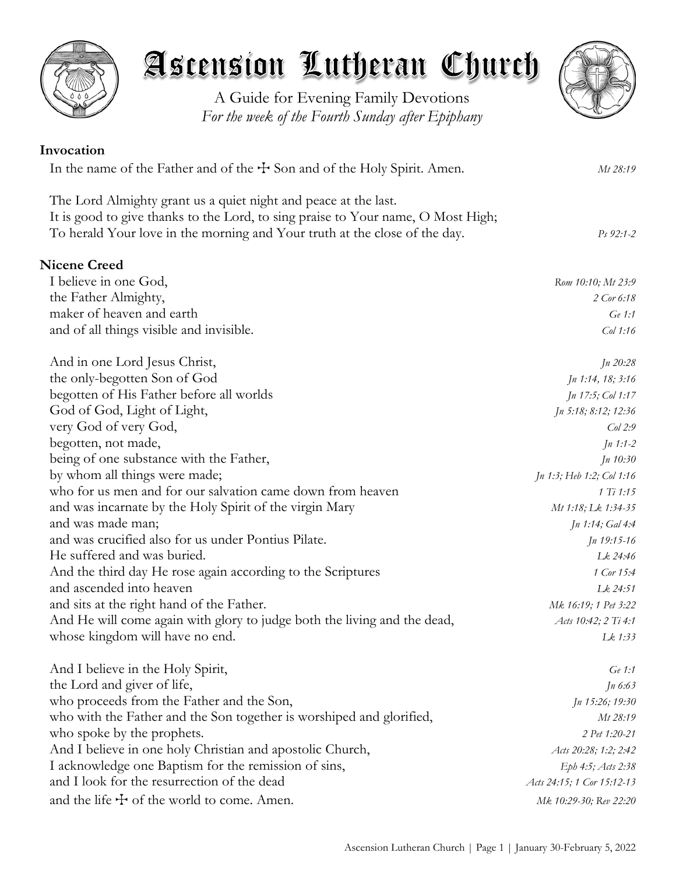

A Guide for Evening Family Devotions *For the week of the Fourth Sunday after Epiphany*



| Invocation                                                                       |                            |
|----------------------------------------------------------------------------------|----------------------------|
| In the name of the Father and of the $+$ Son and of the Holy Spirit. Amen.       | Mt 28:19                   |
| The Lord Almighty grant us a quiet night and peace at the last.                  |                            |
| It is good to give thanks to the Lord, to sing praise to Your name, O Most High; |                            |
| To herald Your love in the morning and Your truth at the close of the day.       | Ps 92:1-2                  |
| <b>Nicene Creed</b>                                                              |                            |
| I believe in one God,                                                            | Rom 10:10; Mt 23:9         |
| the Father Almighty,                                                             | 2 Cor 6:18                 |
| maker of heaven and earth                                                        | Ge 1:1                     |
| and of all things visible and invisible.                                         | $Col$ 1:16                 |
| And in one Lord Jesus Christ,                                                    | In 20:28                   |
| the only-begotten Son of God                                                     | Jn 1:14, 18; 3:16          |
| begotten of His Father before all worlds                                         | Jn 17:5; Col 1:17          |
| God of God, Light of Light,                                                      | Jn 5:18; 8:12; 12:36       |
| very God of very God,                                                            | $Col$ 2:9                  |
| begotten, not made,                                                              | $Jn 1:1-2$                 |
| being of one substance with the Father,                                          | Jn 10:30                   |
| by whom all things were made;                                                    | Jn 1:3; Heb 1:2; Col 1:16  |
| who for us men and for our salvation came down from heaven                       | 1 Ti 1:15                  |
| and was incarnate by the Holy Spirit of the virgin Mary                          | Mt 1:18; Lk 1:34-35        |
| and was made man;                                                                | <i>Jn 1:14; Gal 4:4</i>    |
| and was crucified also for us under Pontius Pilate.                              | $Jn$ 19:15-16              |
| He suffered and was buried.                                                      | Lk 24:46                   |
| And the third day He rose again according to the Scriptures                      | 1 Cor 15:4                 |
| and ascended into heaven                                                         | Lk 24:51                   |
| and sits at the right hand of the Father.                                        | Mk 16:19; 1 Pet 3:22       |
| And He will come again with glory to judge both the living and the dead,         | Acts 10:42; 2 Ti 4:1       |
| whose kingdom will have no end.                                                  | Lk 1:33                    |
| And I believe in the Holy Spirit,                                                | Ge 1:1                     |
| the Lord and giver of life,                                                      | $Jn\,6:63$                 |
| who proceeds from the Father and the Son,                                        | Jn 15:26; 19:30            |
| who with the Father and the Son together is worshiped and glorified,             | Mt 28:19                   |
| who spoke by the prophets.                                                       | 2 Pet 1:20-21              |
| And I believe in one holy Christian and apostolic Church,                        | Acts 20:28; 1:2; 2:42      |
| I acknowledge one Baptism for the remission of sins,                             | Eph 4:5; Acts 2:38         |
| and I look for the resurrection of the dead                                      | Acts 24:15; 1 Cor 15:12-13 |
| and the life $\pm$ of the world to come. Amen.                                   | Mk 10:29-30; Rev 22:20     |